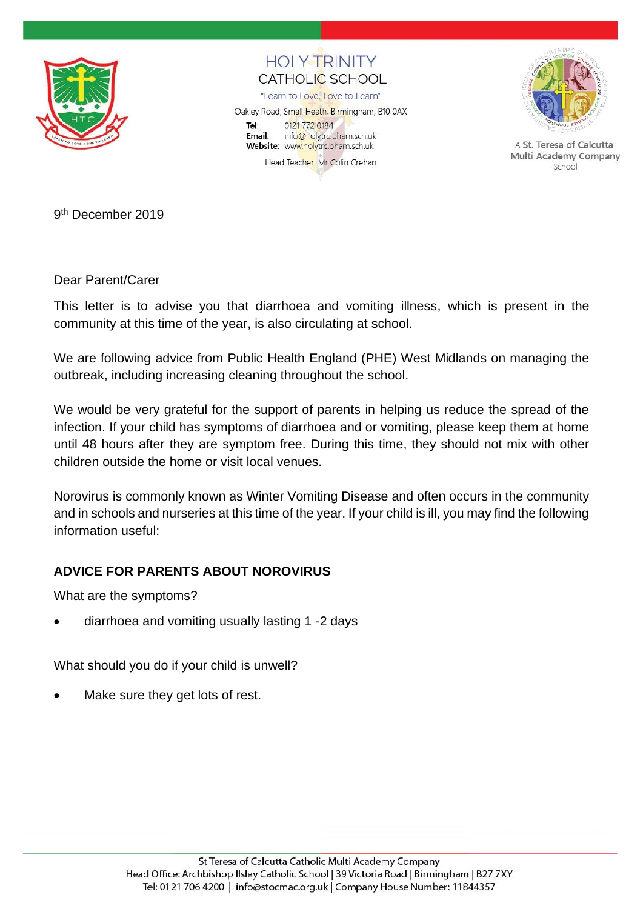

**HOI Y TRINITY** CATHOLIC SCHOOL

"Learn to Love, Love to Learn"

Oakley Road, Small Heath, Birmingham, B10 0AX Tel: 0121 772 0184 Email: info@holytrc.bham.sch.uk Website: www.holytrc.bham.sch.uk Head Teacher: Mr Colin Crehan



A St. Teresa of Calcutta Multi Academy Company School

9<sup>th</sup> December 2019

Dear Parent/Carer

This letter is to advise you that diarrhoea and vomiting illness, which is present in the community at this time of the year, is also circulating at school.

We are following advice from Public Health England (PHE) West Midlands on managing the outbreak, including increasing cleaning throughout the school.

We would be very grateful for the support of parents in helping us reduce the spread of the infection. If your child has symptoms of diarrhoea and or vomiting, please keep them at home until 48 hours after they are symptom free. During this time, they should not mix with other children outside the home or visit local venues.

Norovirus is commonly known as Winter Vomiting Disease and often occurs in the community and in schools and nurseries at this time of the year. If your child is ill, you may find the following information useful:

## **ADVICE FOR PARENTS ABOUT NOROVIRUS**

What are the symptoms?

• diarrhoea and vomiting usually lasting 1 -2 days

What should you do if your child is unwell?

Make sure they get lots of rest.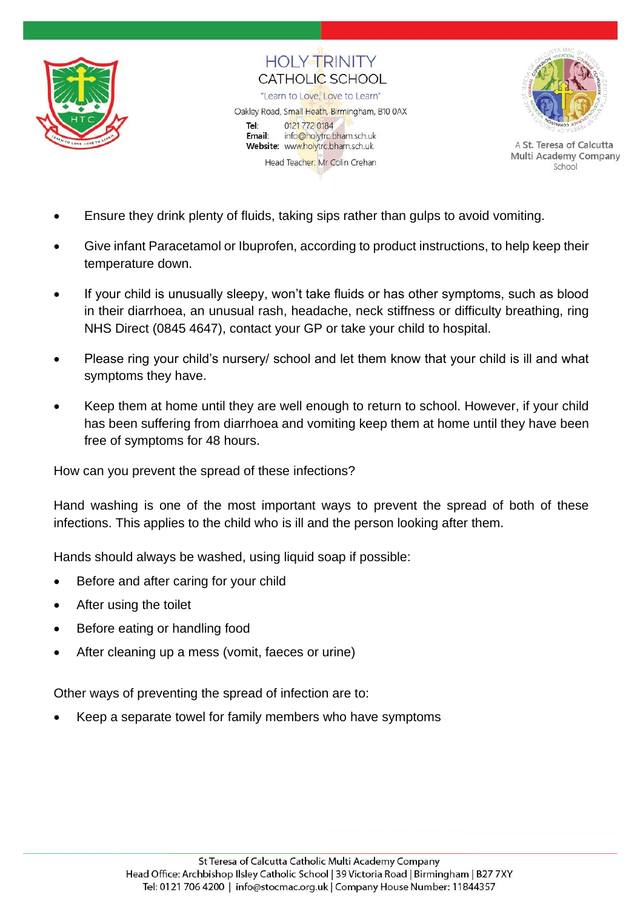

**HOI Y TRINITY** CATHOLIC SCHOOL "Learn to Love, Love to Learn" Oakley Road, Small Heath, Birmingham, B10 0AX Tel: 0121 772 0184 Email: info@holytrc.bham.sch.uk Website: www.holytrc.bham.sch.uk Head Teacher: Mr Colin Crehan



A St. Teresa of Calcutta Multi Academy Company School

- Ensure they drink plenty of fluids, taking sips rather than gulps to avoid vomiting.
- Give infant Paracetamol or Ibuprofen, according to product instructions, to help keep their temperature down.
- If your child is unusually sleepy, won't take fluids or has other symptoms, such as blood in their diarrhoea, an unusual rash, headache, neck stiffness or difficulty breathing, ring NHS Direct (0845 4647), contact your GP or take your child to hospital.
- Please ring your child's nursery/ school and let them know that your child is ill and what symptoms they have.
- Keep them at home until they are well enough to return to school. However, if your child has been suffering from diarrhoea and vomiting keep them at home until they have been free of symptoms for 48 hours.

How can you prevent the spread of these infections?

Hand washing is one of the most important ways to prevent the spread of both of these infections. This applies to the child who is ill and the person looking after them.

Hands should always be washed, using liquid soap if possible:

- Before and after caring for your child
- After using the toilet
- Before eating or handling food
- After cleaning up a mess (vomit, faeces or urine)

Other ways of preventing the spread of infection are to:

• Keep a separate towel for family members who have symptoms